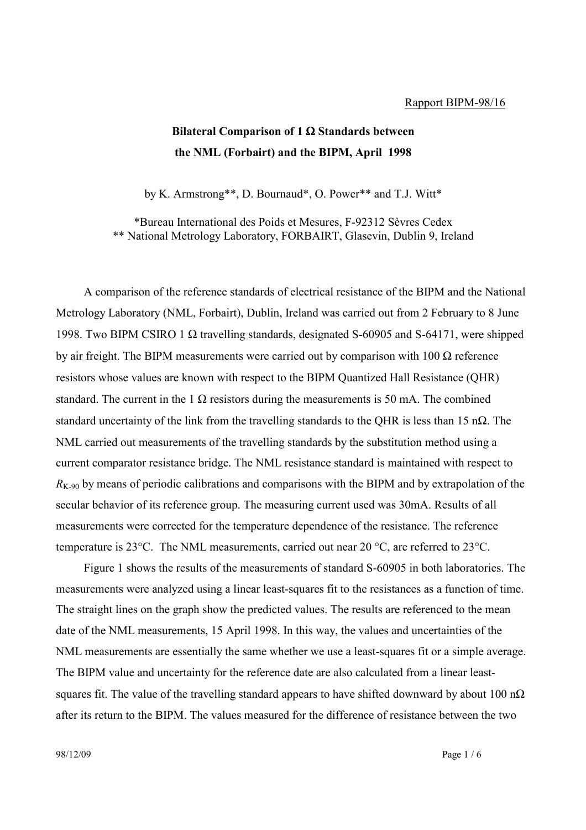## Rapport BIPM-98/16

## **Bilateral Comparison of 1** Ω **Standards between the NML (Forbairt) and the BIPM, April 1998**

by K. Armstrong\*\*, D. Bournaud\*, O. Power\*\* and T.J. Witt\*

\*Bureau International des Poids et Mesures, F-92312 Sèvres Cedex \*\* National Metrology Laboratory, FORBAIRT, Glasevin, Dublin 9, Ireland

A comparison of the reference standards of electrical resistance of the BIPM and the National Metrology Laboratory (NML, Forbairt), Dublin, Ireland was carried out from 2 February to 8 June 1998. Two BIPM CSIRO 1 Ω travelling standards, designated S-60905 and S-64171, were shipped by air freight. The BIPM measurements were carried out by comparison with  $100 \Omega$  reference resistors whose values are known with respect to the BIPM Quantized Hall Resistance (QHR) standard. The current in the 1  $\Omega$  resistors during the measurements is 50 mA. The combined standard uncertainty of the link from the travelling standards to the QHR is less than 15 n $\Omega$ . The NML carried out measurements of the travelling standards by the substitution method using a current comparator resistance bridge. The NML resistance standard is maintained with respect to  $R_{K-90}$  by means of periodic calibrations and comparisons with the BIPM and by extrapolation of the secular behavior of its reference group. The measuring current used was 30mA. Results of all measurements were corrected for the temperature dependence of the resistance. The reference temperature is 23°C. The NML measurements, carried out near 20 °C, are referred to 23°C.

Figure 1 shows the results of the measurements of standard S-60905 in both laboratories. The measurements were analyzed using a linear least-squares fit to the resistances as a function of time. The straight lines on the graph show the predicted values. The results are referenced to the mean date of the NML measurements, 15 April 1998. In this way, the values and uncertainties of the NML measurements are essentially the same whether we use a least-squares fit or a simple average. The BIPM value and uncertainty for the reference date are also calculated from a linear leastsquares fit. The value of the travelling standard appears to have shifted downward by about 100 n $\Omega$ after its return to the BIPM. The values measured for the difference of resistance between the two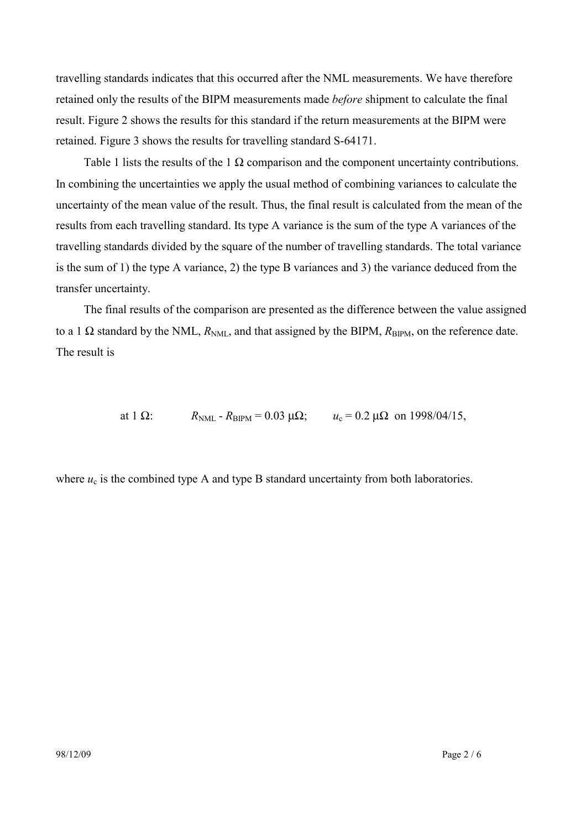travelling standards indicates that this occurred after the NML measurements. We have therefore retained only the results of the BIPM measurements made *before* shipment to calculate the final result. Figure 2 shows the results for this standard if the return measurements at the BIPM were retained. Figure 3 shows the results for travelling standard S-64171.

Table 1 lists the results of the 1  $\Omega$  comparison and the component uncertainty contributions. In combining the uncertainties we apply the usual method of combining variances to calculate the uncertainty of the mean value of the result. Thus, the final result is calculated from the mean of the results from each travelling standard. Its type A variance is the sum of the type A variances of the travelling standards divided by the square of the number of travelling standards. The total variance is the sum of 1) the type A variance, 2) the type B variances and 3) the variance deduced from the transfer uncertainty.

The final results of the comparison are presented as the difference between the value assigned to a 1  $\Omega$  standard by the NML,  $R_{NMI}$ , and that assigned by the BIPM,  $R_{BIPM}$ , on the reference date. The result is

at 1  $\Omega$ :  $R_{\text{NML}}$  -  $R_{\text{BIPM}}$  = 0.03  $\mu\Omega$ ;  $u_c$  = 0.2  $\mu\Omega$  on 1998/04/15,

where  $u_c$  is the combined type A and type B standard uncertainty from both laboratories.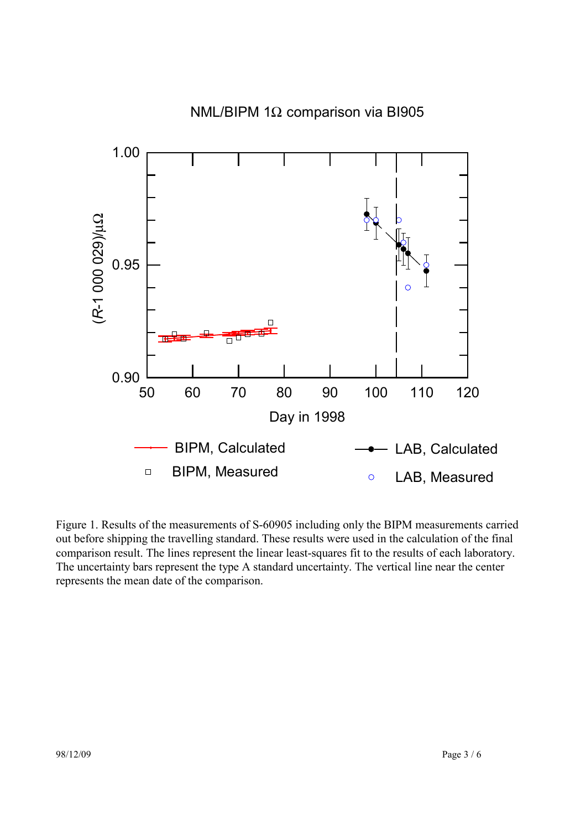

Figure 1. Results of the measurements of S-60905 including only the BIPM measurements carried out before shipping the travelling standard. These results were used in the calculation of the final comparison result. The lines represent the linear least-squares fit to the results of each laboratory. The uncertainty bars represent the type A standard uncertainty. The vertical line near the center represents the mean date of the comparison.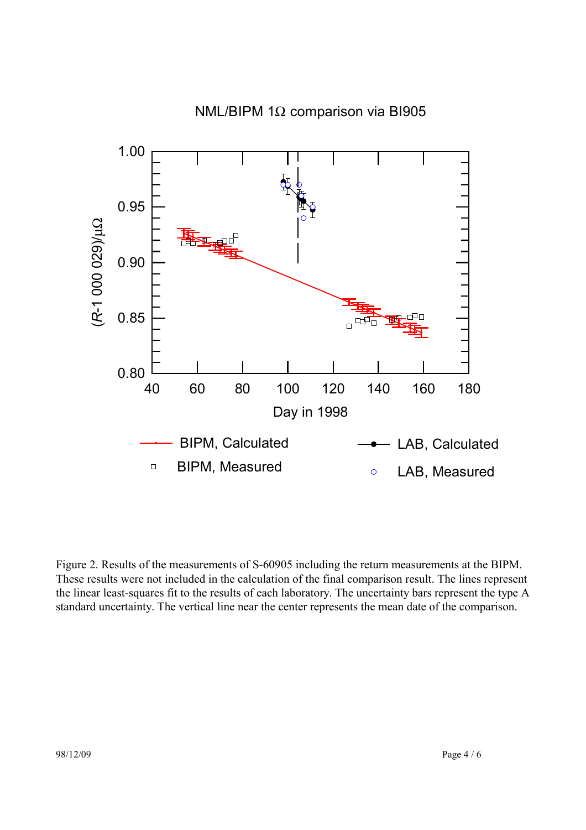

Figure 2. Results of the measurements of S-60905 including the return measurements at the BIPM. These results were not included in the calculation of the final comparison result. The lines represent the linear least-squares fit to the results of each laboratory. The uncertainty bars represent the type A standard uncertainty. The vertical line near the center represents the mean date of the comparison.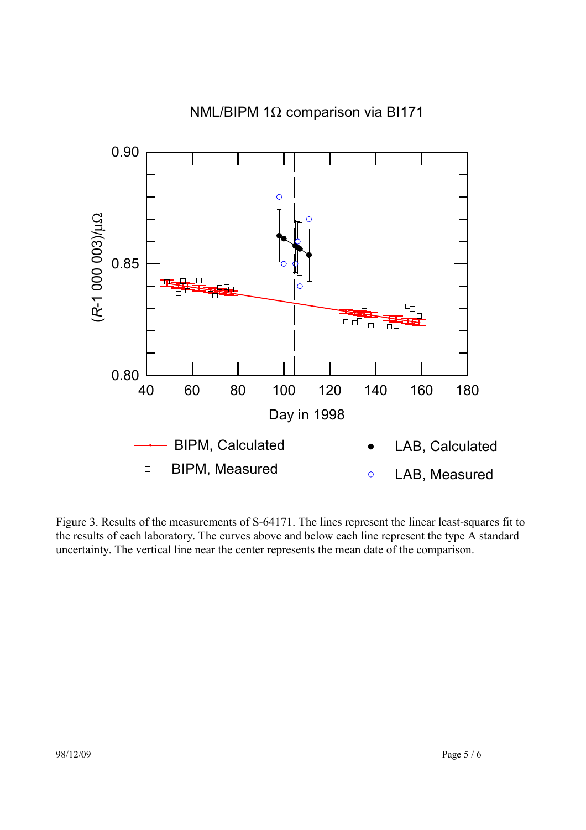

Figure 3. Results of the measurements of S-64171. The lines represent the linear least-squares fit to the results of each laboratory. The curves above and below each line represent the type A standard uncertainty. The vertical line near the center represents the mean date of the comparison.